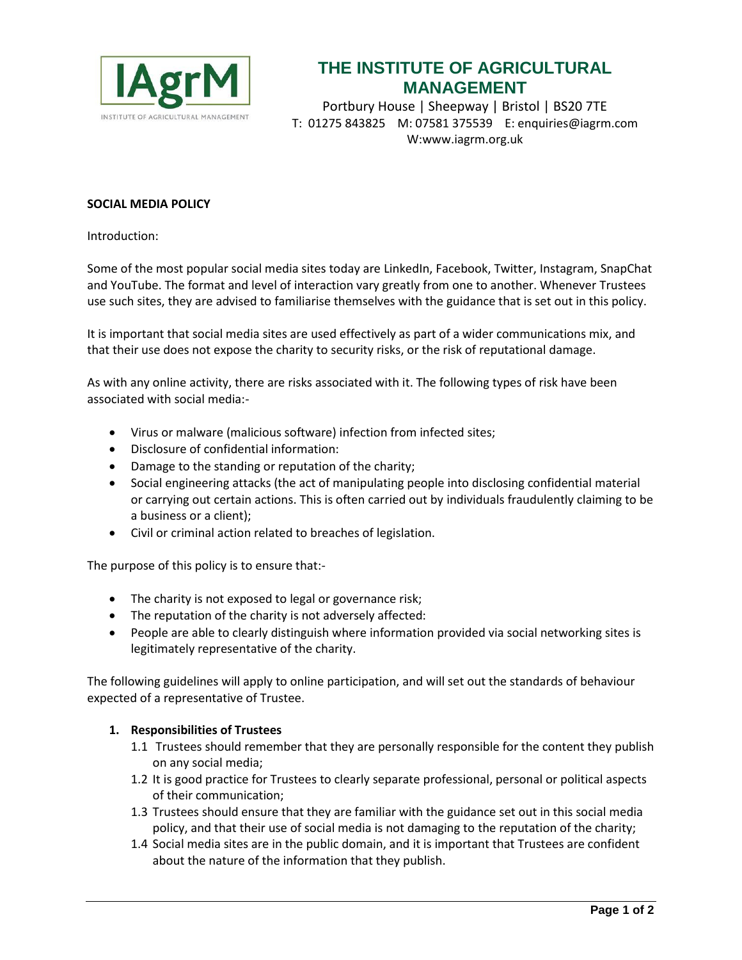

## **THE INSTITUTE OF AGRICULTURAL MANAGEMENT**

Portbury House | Sheepway | Bristol | BS20 7TE T: 01275 843825 M: 07581 375539 E: enquiries@iagrm.com W:www.iagrm.org.uk

## **SOCIAL MEDIA POLICY**

Introduction:

Some of the most popular social media sites today are LinkedIn, Facebook, Twitter, Instagram, SnapChat and YouTube. The format and level of interaction vary greatly from one to another. Whenever Trustees use such sites, they are advised to familiarise themselves with the guidance that is set out in this policy.

It is important that social media sites are used effectively as part of a wider communications mix, and that their use does not expose the charity to security risks, or the risk of reputational damage.

As with any online activity, there are risks associated with it. The following types of risk have been associated with social media:-

- Virus or malware (malicious software) infection from infected sites;
- Disclosure of confidential information:
- Damage to the standing or reputation of the charity;
- Social engineering attacks (the act of manipulating people into disclosing confidential material or carrying out certain actions. This is often carried out by individuals fraudulently claiming to be a business or a client);
- Civil or criminal action related to breaches of legislation.

The purpose of this policy is to ensure that:-

- The charity is not exposed to legal or governance risk;
- The reputation of the charity is not adversely affected:
- People are able to clearly distinguish where information provided via social networking sites is legitimately representative of the charity.

The following guidelines will apply to online participation, and will set out the standards of behaviour expected of a representative of Trustee.

## **1. Responsibilities of Trustees**

- 1.1 Trustees should remember that they are personally responsible for the content they publish on any social media;
- 1.2 It is good practice for Trustees to clearly separate professional, personal or political aspects of their communication;
- 1.3 Trustees should ensure that they are familiar with the guidance set out in this social media policy, and that their use of social media is not damaging to the reputation of the charity;
- 1.4 Social media sites are in the public domain, and it is important that Trustees are confident about the nature of the information that they publish.